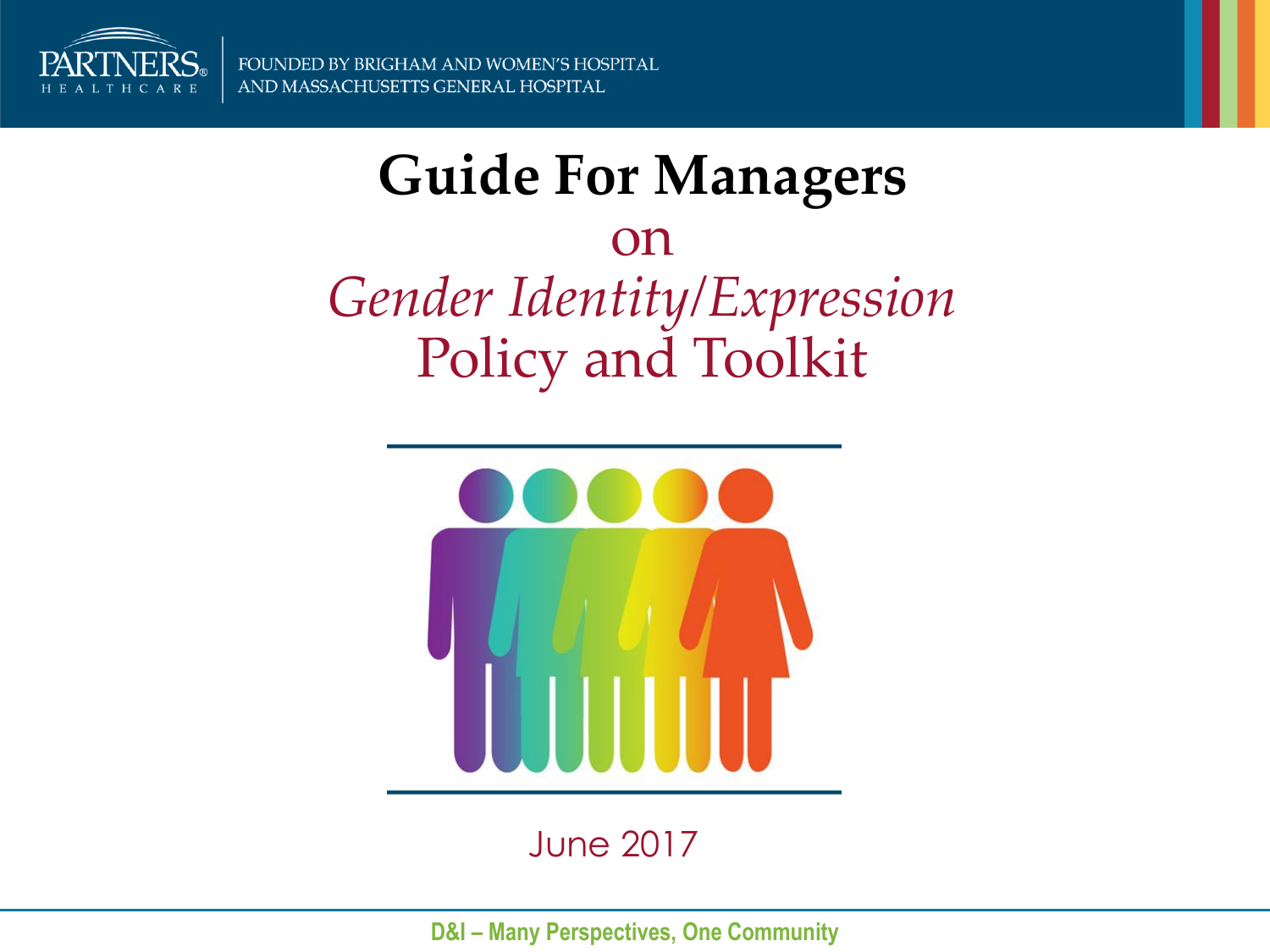

### **Guide For Managers**  on

*Gender Identity/Expression*  Policy and Toolkit



June 2017

**D&I - Many Perspectives, One Community**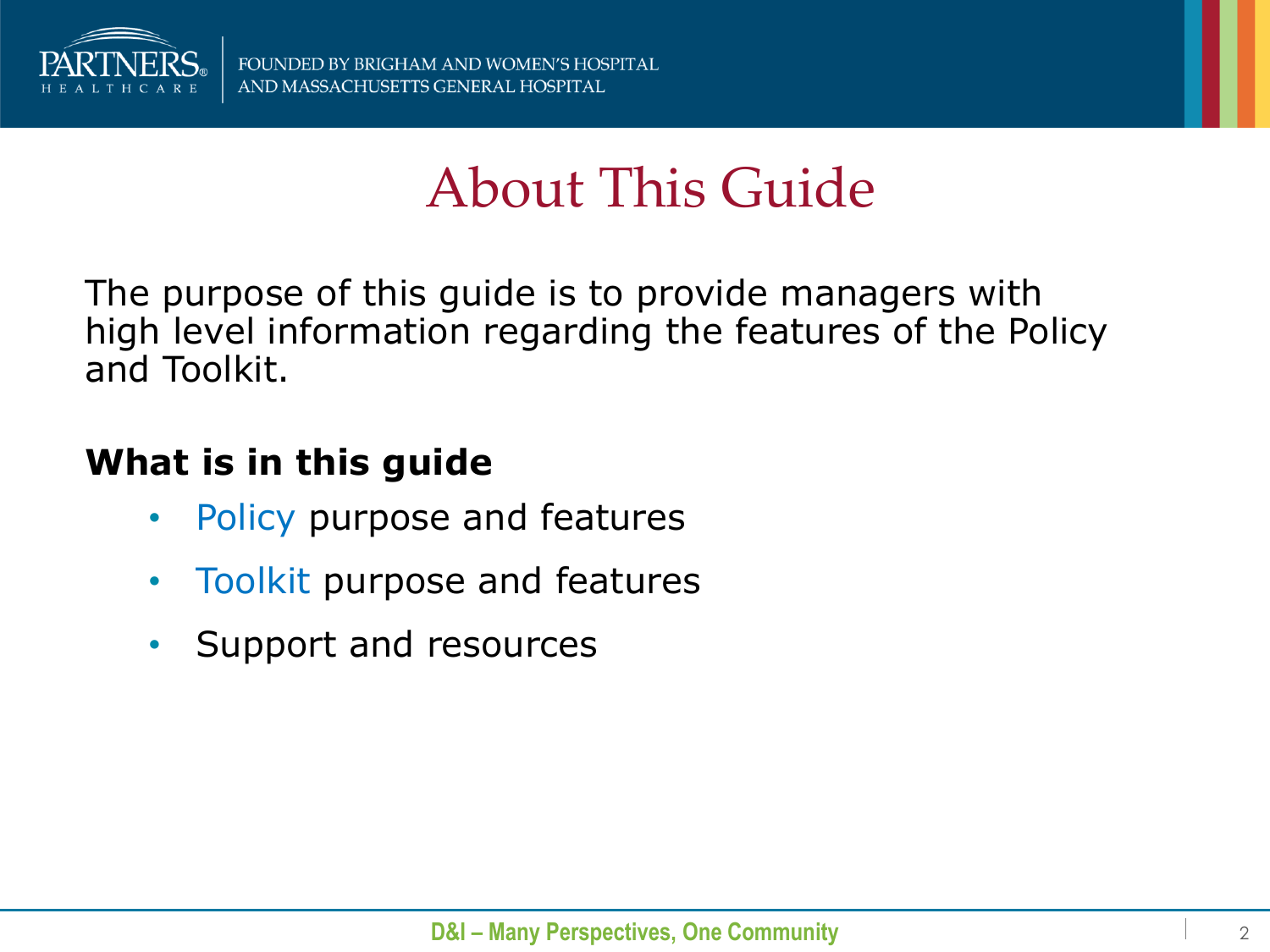

## About This Guide

The purpose of this guide is to provide managers with high level information regarding the features of the Policy and Toolkit.

#### **What is in this guide**

- Policy purpose and features
- Toolkit purpose and features
- Support and resources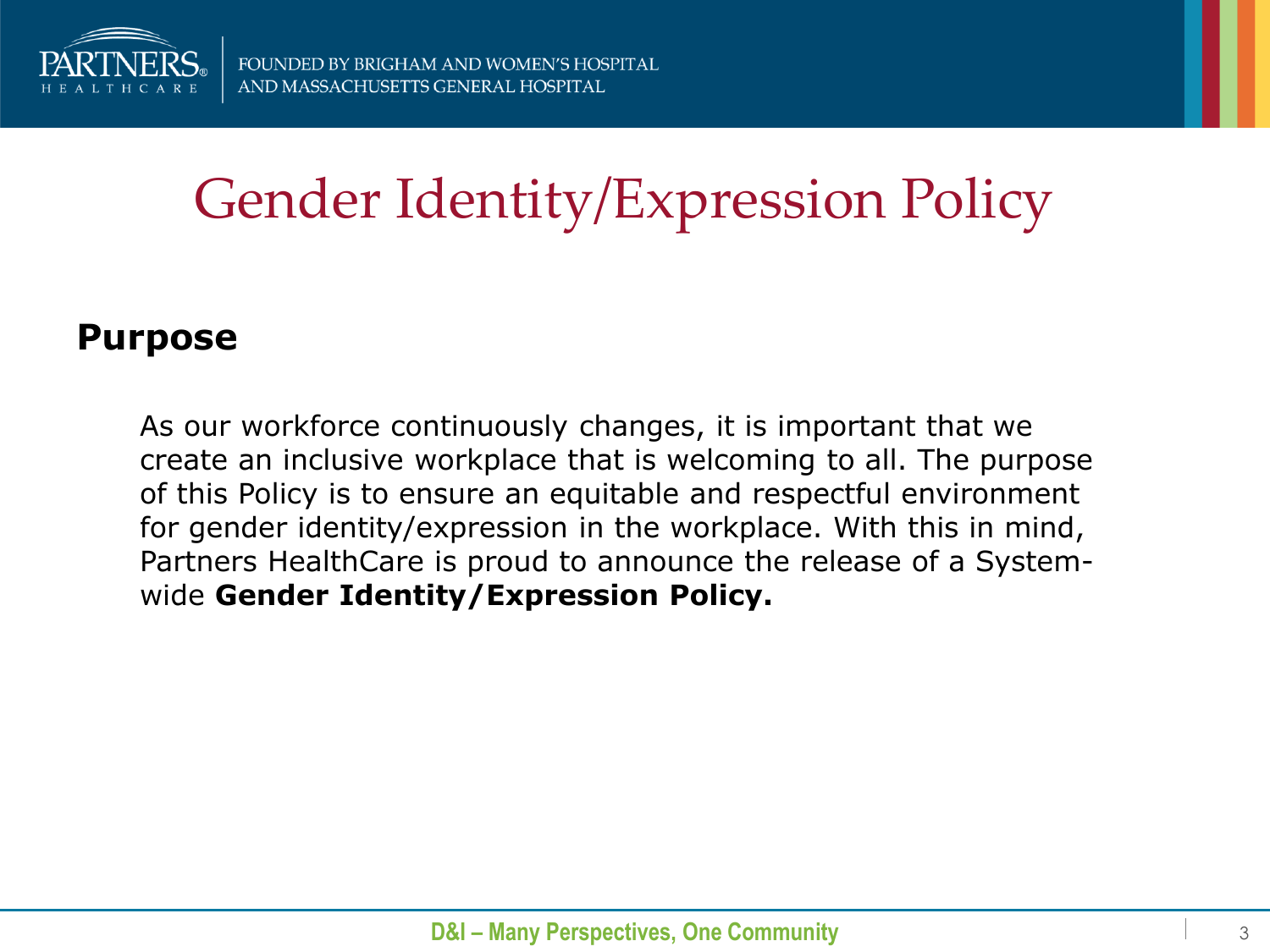

# Gender Identity/Expression Policy

#### **Purpose**

As our workforce continuously changes, it is important that we create an inclusive workplace that is welcoming to all. The purpose of this Policy is to ensure an equitable and respectful environment for gender identity/expression in the workplace. With this in mind, Partners HealthCare is proud to announce the release of a Systemwide **Gender Identity/Expression Policy.**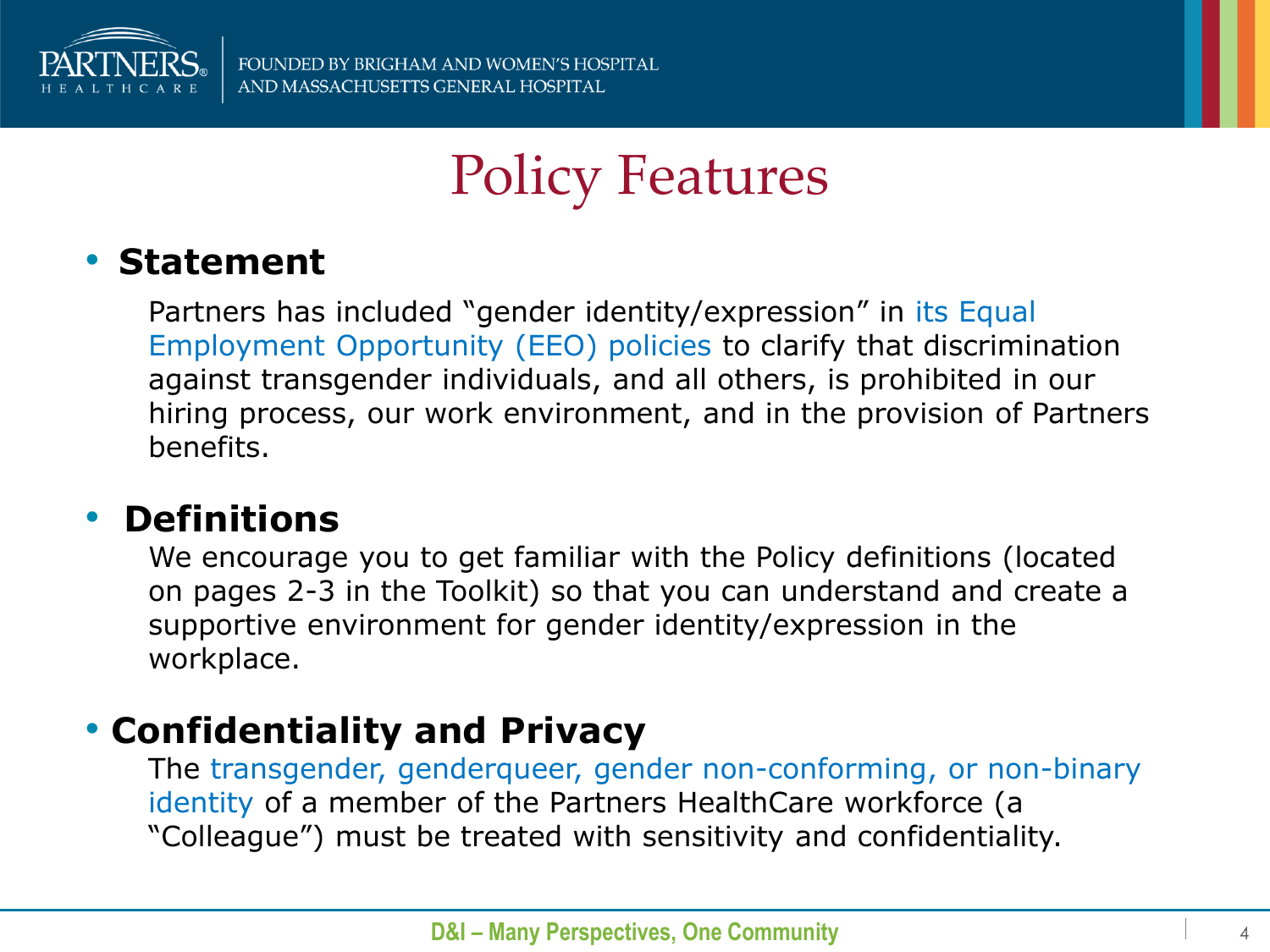

## Policy Features

#### • **Statement**

Partners has included "gender identity/expression" in its Equal Employment Opportunity (EEO) policies to clarify that discrimination against transgender individuals, and all others, is prohibited in our hiring process, our work environment, and in the provision of Partners benefits.

#### • **Definitions**

We encourage you to get familiar with the Policy definitions (located on pages 2-3 in the Toolkit) so that you can understand and create a supportive environment for gender identity/expression in the workplace.

#### • **Confidentiality and Privacy**

The transgender, genderqueer, gender non-conforming, or non-binary identity of a member of the Partners HealthCare workforce (a "Colleague") must be treated with sensitivity and confidentiality.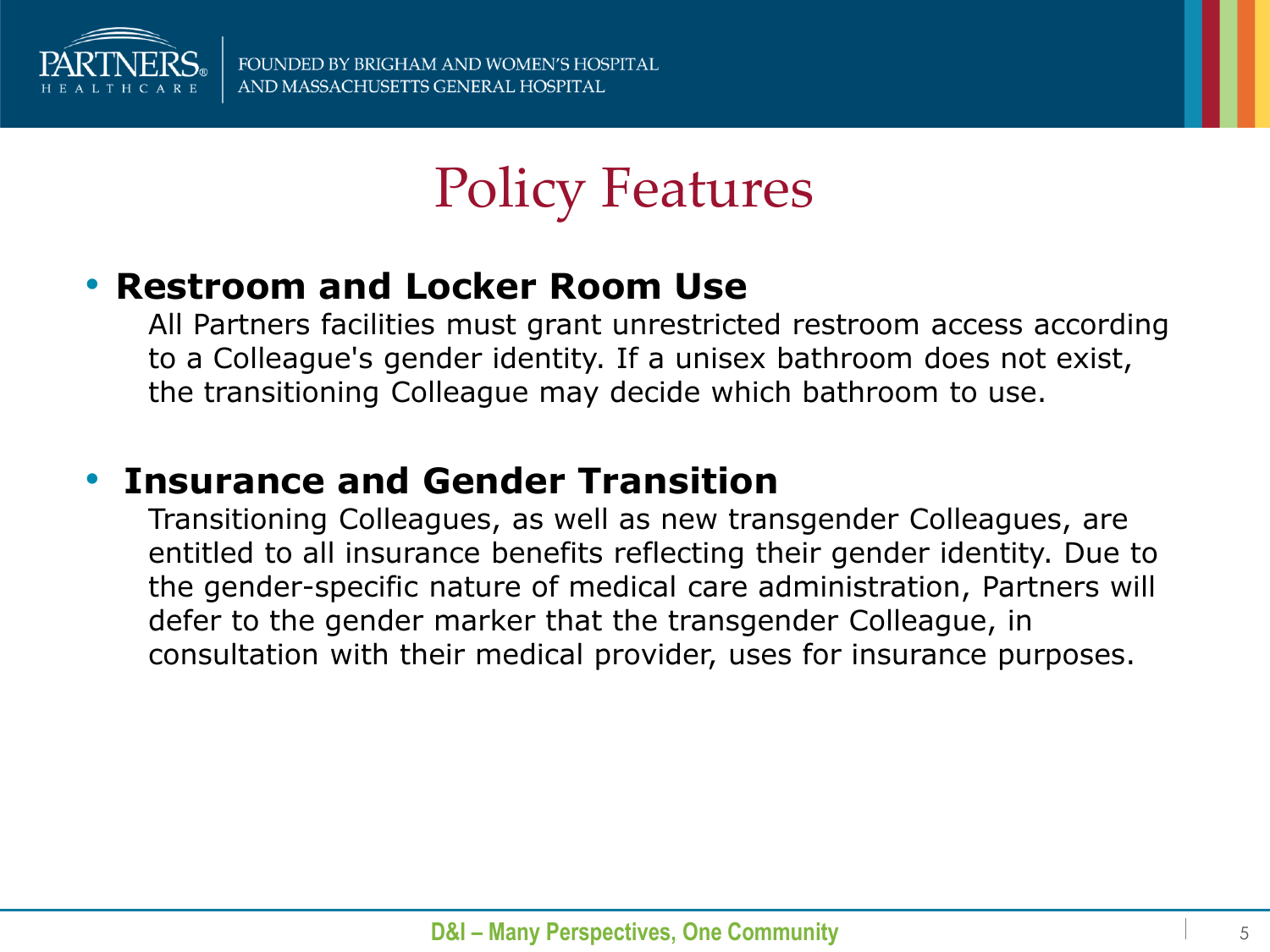

## Policy Features

#### • **Restroom and Locker Room Use**

All Partners facilities must grant unrestricted restroom access according to a Colleague's gender identity. If a unisex bathroom does not exist, the transitioning Colleague may decide which bathroom to use.

#### • **Insurance and Gender Transition**

Transitioning Colleagues, as well as new transgender Colleagues, are entitled to all insurance benefits reflecting their gender identity. Due to the gender-specific nature of medical care administration, Partners will defer to the gender marker that the transgender Colleague, in consultation with their medical provider, uses for insurance purposes.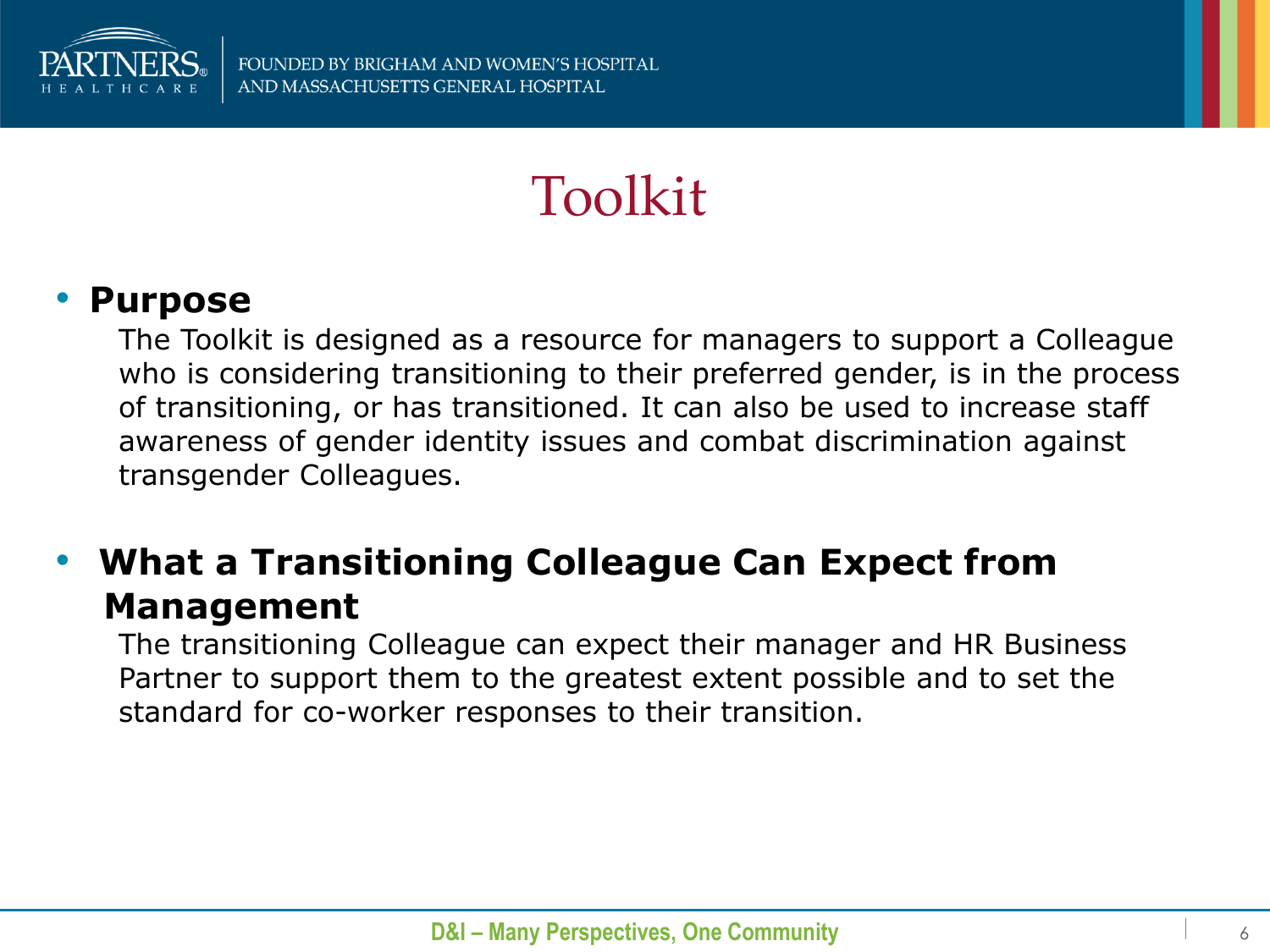

## Toolkit

#### • **Purpose**

The Toolkit is designed as a resource for managers to support a Colleague who is considering transitioning to their preferred gender, is in the process of transitioning, or has transitioned. It can also be used to increase staff awareness of gender identity issues and combat discrimination against transgender Colleagues.

#### • **What a Transitioning Colleague Can Expect from Management**

The transitioning Colleague can expect their manager and HR Business Partner to support them to the greatest extent possible and to set the standard for co-worker responses to their transition.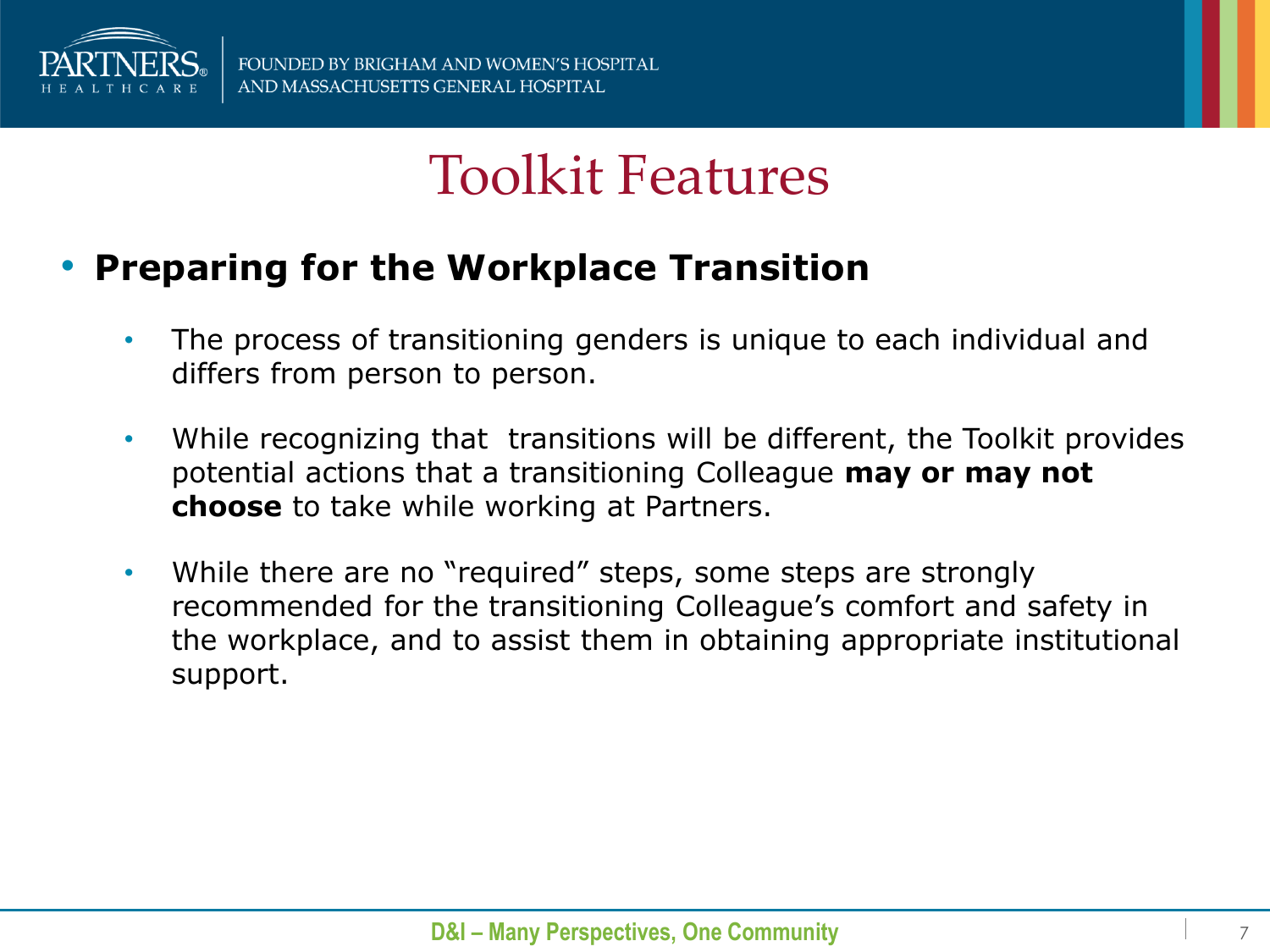

### Toolkit Features

#### • **Preparing for the Workplace Transition**

- The process of transitioning genders is unique to each individual and differs from person to person.
- While recognizing that transitions will be different, the Toolkit provides potential actions that a transitioning Colleague **may or may not choose** to take while working at Partners.
- While there are no "required" steps, some steps are strongly recommended for the transitioning Colleague's comfort and safety in the workplace, and to assist them in obtaining appropriate institutional support.